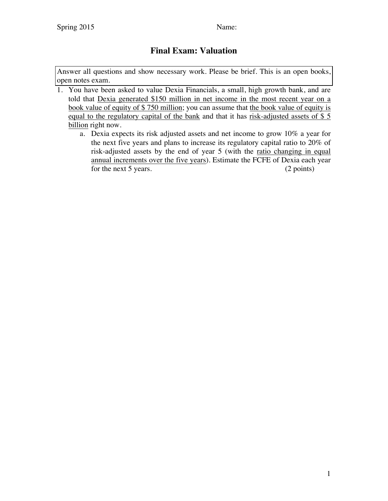## **Final Exam: Valuation**

Answer all questions and show necessary work. Please be brief. This is an open books, open notes exam.

- 1. You have been asked to value Dexia Financials, a small, high growth bank, and are told that Dexia generated \$150 million in net income in the most recent year on a book value of equity of \$ 750 million; you can assume that the book value of equity is equal to the regulatory capital of the bank and that it has risk-adjusted assets of \$ 5 billion right now.
	- a. Dexia expects its risk adjusted assets and net income to grow 10% a year for the next five years and plans to increase its regulatory capital ratio to 20% of risk-adjusted assets by the end of year 5 (with the ratio changing in equal annual increments over the five years). Estimate the FCFE of Dexia each year for the next 5 years. (2 points)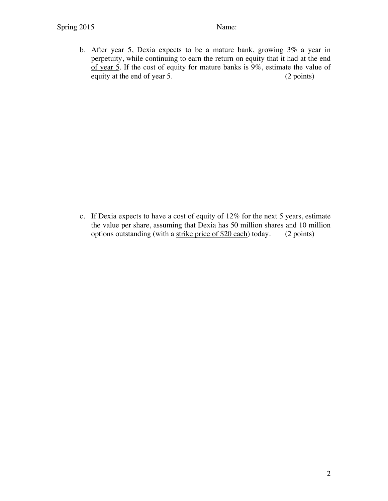b. After year 5, Dexia expects to be a mature bank, growing 3% a year in perpetuity, while continuing to earn the return on equity that it had at the end of year 5. If the cost of equity for mature banks is  $9\%$ , estimate the value of equity at the end of year 5. (2 points)

c. If Dexia expects to have a cost of equity of 12% for the next 5 years, estimate the value per share, assuming that Dexia has 50 million shares and 10 million options outstanding (with a strike price of \$20 each) today. (2 points)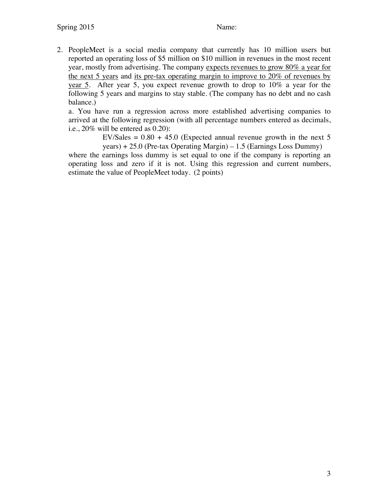2. PeopleMeet is a social media company that currently has 10 million users but reported an operating loss of \$5 million on \$10 million in revenues in the most recent year, mostly from advertising. The company expects revenues to grow 80% a year for the next 5 years and its pre-tax operating margin to improve to 20% of revenues by year 5. After year 5, you expect revenue growth to drop to 10% a year for the following 5 years and margins to stay stable. (The company has no debt and no cash balance.)

a. You have run a regression across more established advertising companies to arrived at the following regression (with all percentage numbers entered as decimals, i.e., 20% will be entered as 0.20):

> EV/Sales  $= 0.80 + 45.0$  (Expected annual revenue growth in the next 5 years) + 25.0 (Pre-tax Operating Margin) – 1.5 (Earnings Loss Dummy)

where the earnings loss dummy is set equal to one if the company is reporting an operating loss and zero if it is not. Using this regression and current numbers, estimate the value of PeopleMeet today. (2 points)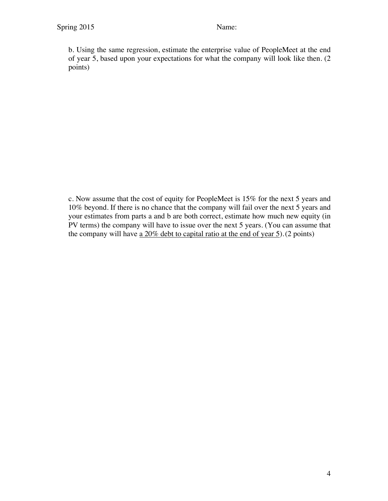b. Using the same regression, estimate the enterprise value of PeopleMeet at the end of year 5, based upon your expectations for what the company will look like then. (2 points)

c. Now assume that the cost of equity for PeopleMeet is 15% for the next 5 years and 10% beyond. If there is no chance that the company will fail over the next 5 years and your estimates from parts a and b are both correct, estimate how much new equity (in PV terms) the company will have to issue over the next 5 years. (You can assume that the company will have a 20% debt to capital ratio at the end of year 5).(2 points)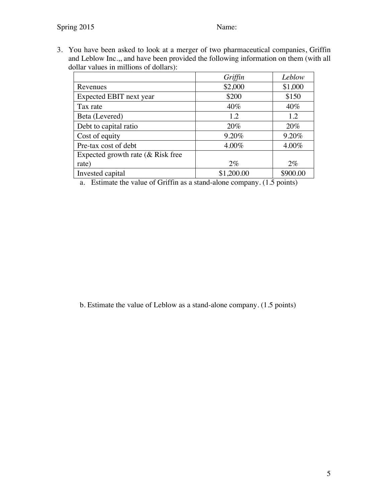3. You have been asked to look at a merger of two pharmaceutical companies, Griffin and Leblow Inc.,, and have been provided the following information on them (with all dollar values in millions of dollars):

|                                      | Griffin    | Leblow   |
|--------------------------------------|------------|----------|
| Revenues                             | \$2,000    | \$1,000  |
| Expected EBIT next year              | \$200      | \$150    |
| Tax rate                             | $40\%$     | $40\%$   |
| Beta (Levered)                       | 1.2        | 1.2      |
| Debt to capital ratio                | 20%        | 20%      |
| Cost of equity                       | 9.20%      | 9.20%    |
| Pre-tax cost of debt                 | 4.00%      | 4.00%    |
| Expected growth rate $(\&$ Risk free |            |          |
| rate)                                | $2\%$      | $2\%$    |
| Invested capital                     | \$1,200.00 | \$900.00 |

a. Estimate the value of Griffin as a stand-alone company. (1.5 points)

b. Estimate the value of Leblow as a stand-alone company. (1.5 points)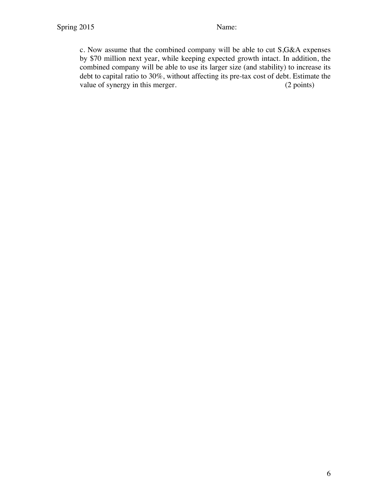c. Now assume that the combined company will be able to cut S,G&A expenses by \$70 million next year, while keeping expected growth intact. In addition, the combined company will be able to use its larger size (and stability) to increase its debt to capital ratio to 30%, without affecting its pre-tax cost of debt. Estimate the value of synergy in this merger. (2 points)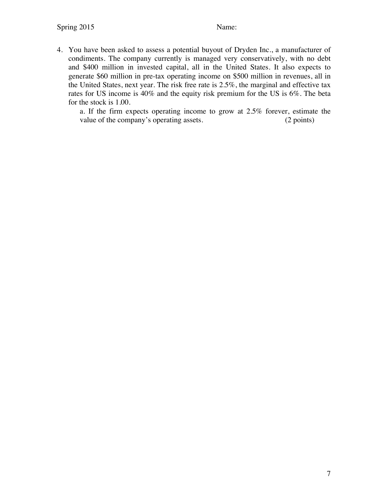4. You have been asked to assess a potential buyout of Dryden Inc., a manufacturer of condiments. The company currently is managed very conservatively, with no debt and \$400 million in invested capital, all in the United States. It also expects to generate \$60 million in pre-tax operating income on \$500 million in revenues, all in the United States, next year. The risk free rate is 2.5%, the marginal and effective tax rates for US income is 40% and the equity risk premium for the US is 6%. The beta for the stock is 1.00.

a. If the firm expects operating income to grow at 2.5% forever, estimate the value of the company's operating assets. (2 points)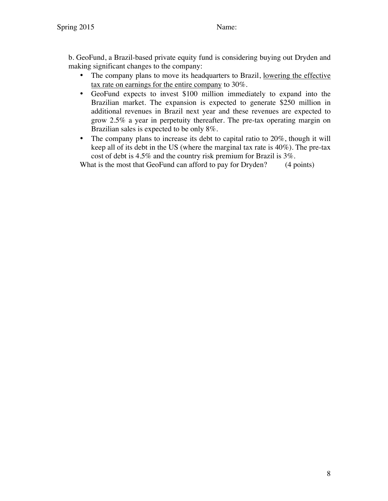b. GeoFund, a Brazil-based private equity fund is considering buying out Dryden and making significant changes to the company:

- The company plans to move its headquarters to Brazil, lowering the effective tax rate on earnings for the entire company to 30%.
- GeoFund expects to invest \$100 million immediately to expand into the Brazilian market. The expansion is expected to generate \$250 million in additional revenues in Brazil next year and these revenues are expected to grow 2.5% a year in perpetuity thereafter. The pre-tax operating margin on Brazilian sales is expected to be only 8%.
- The company plans to increase its debt to capital ratio to 20%, though it will keep all of its debt in the US (where the marginal tax rate is 40%). The pre-tax cost of debt is 4.5% and the country risk premium for Brazil is 3%.

What is the most that GeoFund can afford to pay for Dryden? (4 points)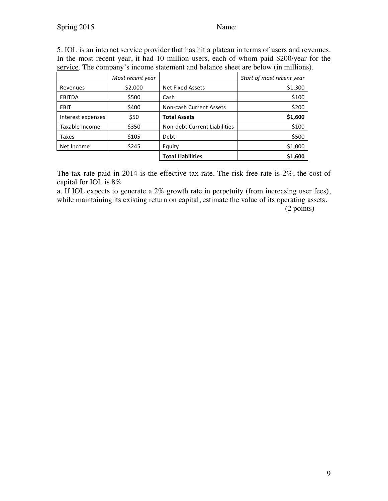## Spring 2015 Name:

5. IOL is an internet service provider that has hit a plateau in terms of users and revenues. In the most recent year, it had 10 million users, each of whom paid \$200/year for the service. The company's income statement and balance sheet are below (in millions).

|                   | Most recent year |                              | Start of most recent year |
|-------------------|------------------|------------------------------|---------------------------|
| Revenues          | \$2,000          | <b>Net Fixed Assets</b>      | \$1,300                   |
| <b>EBITDA</b>     | \$500            | Cash                         | \$100                     |
| EBIT              | \$400            | Non-cash Current Assets      | \$200                     |
| Interest expenses | \$50             | <b>Total Assets</b>          | \$1,600                   |
| Taxable Income    | \$350            | Non-debt Current Liabilities | \$100                     |
| Taxes             | \$105            | Debt                         | \$500                     |
| Net Income        | \$245            | Equity                       | \$1,000                   |
|                   |                  | <b>Total Liabilities</b>     | \$1,600                   |

The tax rate paid in 2014 is the effective tax rate. The risk free rate is 2%, the cost of capital for IOL is 8%

a. If IOL expects to generate a 2% growth rate in perpetuity (from increasing user fees), while maintaining its existing return on capital, estimate the value of its operating assets.

(2 points)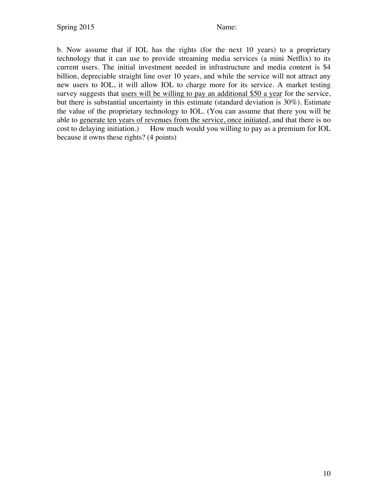b. Now assume that if IOL has the rights (for the next 10 years) to a proprietary technology that it can use to provide streaming media services (a mini Netflix) to its current users. The initial investment needed in infrastructure and media content is \$4 billion, depreciable straight line over 10 years, and while the service will not attract any new users to IOL, it will allow IOL to charge more for its service. A market testing survey suggests that users will be willing to pay an additional \$50 a year for the service, but there is substantial uncertainty in this estimate (standard deviation is 30%). Estimate the value of the proprietary technology to IOL. (You can assume that there you will be able to generate ten years of revenues from the service, once initiated, and that there is no cost to delaying initiation.) How much would you willing to pay as a premium for IOL because it owns these rights? (4 points)